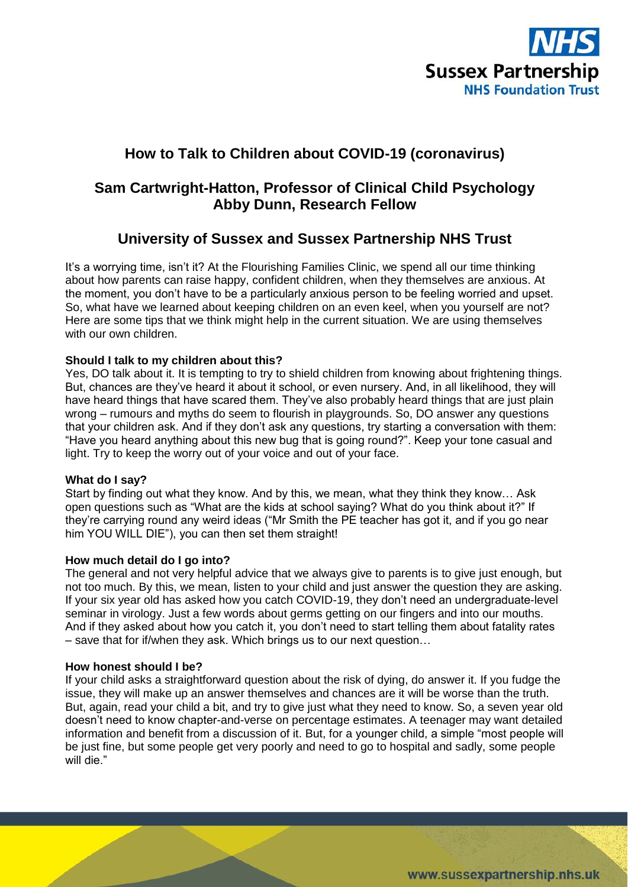

# **How to Talk to Children about COVID-19 (coronavirus)**

## **Sam Cartwright-Hatton, Professor of Clinical Child Psychology Abby Dunn, Research Fellow**

## **University of Sussex and Sussex Partnership NHS Trust**

It's a worrying time, isn't it? At the Flourishing Families Clinic, we spend all our time thinking about how parents can raise happy, confident children, when they themselves are anxious. At the moment, you don't have to be a particularly anxious person to be feeling worried and upset. So, what have we learned about keeping children on an even keel, when you yourself are not? Here are some tips that we think might help in the current situation. We are using themselves with our own children.

## **Should I talk to my children about this?**

Yes, DO talk about it. It is tempting to try to shield children from knowing about frightening things. But, chances are they've heard it about it school, or even nursery. And, in all likelihood, they will have heard things that have scared them. They've also probably heard things that are just plain wrong – rumours and myths do seem to flourish in playgrounds. So, DO answer any questions that your children ask. And if they don't ask any questions, try starting a conversation with them: "Have you heard anything about this new bug that is going round?". Keep your tone casual and light. Try to keep the worry out of your voice and out of your face.

## **What do I say?**

Start by finding out what they know. And by this, we mean, what they think they know… Ask open questions such as "What are the kids at school saying? What do you think about it?" If they're carrying round any weird ideas ("Mr Smith the PE teacher has got it, and if you go near him YOU WILL DIE"), you can then set them straight!

## **How much detail do I go into?**

The general and not very helpful advice that we always give to parents is to give just enough, but not too much. By this, we mean, listen to your child and just answer the question they are asking. If your six year old has asked how you catch COVID-19, they don't need an undergraduate-level seminar in virology. Just a few words about germs getting on our fingers and into our mouths. And if they asked about how you catch it, you don't need to start telling them about fatality rates – save that for if/when they ask. Which brings us to our next question…

## **How honest should I be?**

If your child asks a straightforward question about the risk of dying, do answer it. If you fudge the issue, they will make up an answer themselves and chances are it will be worse than the truth. But, again, read your child a bit, and try to give just what they need to know. So, a seven year old doesn't need to know chapter-and-verse on percentage estimates. A teenager may want detailed information and benefit from a discussion of it. But, for a younger child, a simple "most people will be just fine, but some people get very poorly and need to go to hospital and sadly, some people will die."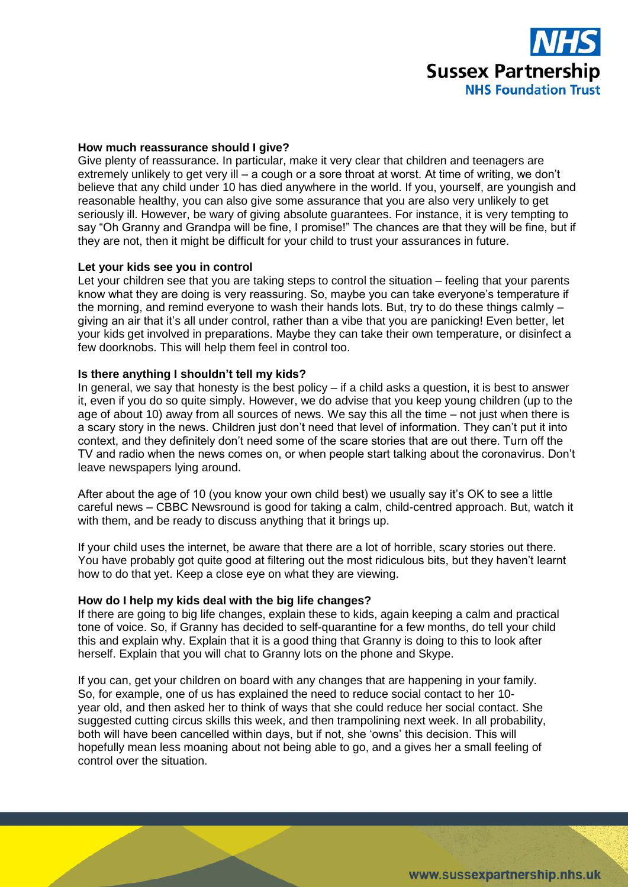

#### **How much reassurance should I give?**

Give plenty of reassurance. In particular, make it very clear that children and teenagers are extremely unlikely to get very ill – a cough or a sore throat at worst. At time of writing, we don't believe that any child under 10 has died anywhere in the world. If you, yourself, are youngish and reasonable healthy, you can also give some assurance that you are also very unlikely to get seriously ill. However, be wary of giving absolute guarantees. For instance, it is very tempting to say "Oh Granny and Grandpa will be fine, I promise!" The chances are that they will be fine, but if they are not, then it might be difficult for your child to trust your assurances in future.

#### **Let your kids see you in control**

Let your children see that you are taking steps to control the situation – feeling that your parents know what they are doing is very reassuring. So, maybe you can take everyone's temperature if the morning, and remind everyone to wash their hands lots. But, try to do these things calmly – giving an air that it's all under control, rather than a vibe that you are panicking! Even better, let your kids get involved in preparations. Maybe they can take their own temperature, or disinfect a few doorknobs. This will help them feel in control too.

## **Is there anything I shouldn't tell my kids?**

In general, we say that honesty is the best policy – if a child asks a question, it is best to answer it, even if you do so quite simply. However, we do advise that you keep young children (up to the age of about 10) away from all sources of news. We say this all the time – not just when there is a scary story in the news. Children just don't need that level of information. They can't put it into context, and they definitely don't need some of the scare stories that are out there. Turn off the TV and radio when the news comes on, or when people start talking about the coronavirus. Don't leave newspapers lying around.

After about the age of 10 (you know your own child best) we usually say it's OK to see a little careful news – CBBC Newsround is good for taking a calm, child-centred approach. But, watch it with them, and be ready to discuss anything that it brings up.

If your child uses the internet, be aware that there are a lot of horrible, scary stories out there. You have probably got quite good at filtering out the most ridiculous bits, but they haven't learnt how to do that yet. Keep a close eye on what they are viewing.

#### **How do I help my kids deal with the big life changes?**

If there are going to big life changes, explain these to kids, again keeping a calm and practical tone of voice. So, if Granny has decided to self-quarantine for a few months, do tell your child this and explain why. Explain that it is a good thing that Granny is doing to this to look after herself. Explain that you will chat to Granny lots on the phone and Skype.

If you can, get your children on board with any changes that are happening in your family. So, for example, one of us has explained the need to reduce social contact to her 10 year old, and then asked her to think of ways that she could reduce her social contact. She suggested cutting circus skills this week, and then trampolining next week. In all probability, both will have been cancelled within days, but if not, she 'owns' this decision. This will hopefully mean less moaning about not being able to go, and a gives her a small feeling of control over the situation.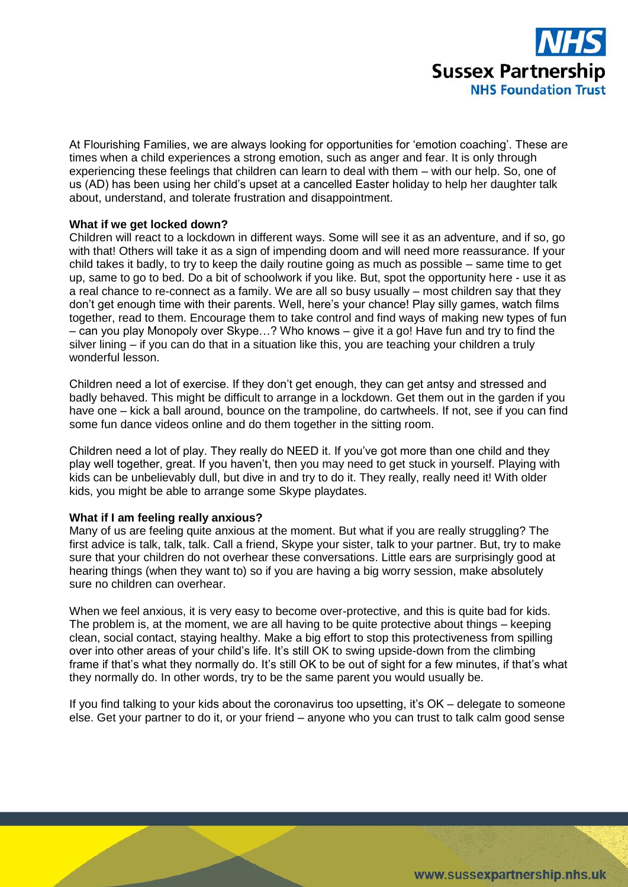

At Flourishing Families, we are always looking for opportunities for 'emotion coaching'. These are times when a child experiences a strong emotion, such as anger and fear. It is only through experiencing these feelings that children can learn to deal with them – with our help. So, one of us (AD) has been using her child's upset at a cancelled Easter holiday to help her daughter talk about, understand, and tolerate frustration and disappointment.

#### **What if we get locked down?**

Children will react to a lockdown in different ways. Some will see it as an adventure, and if so, go with that! Others will take it as a sign of impending doom and will need more reassurance. If your child takes it badly, to try to keep the daily routine going as much as possible – same time to get up, same to go to bed. Do a bit of schoolwork if you like. But, spot the opportunity here - use it as a real chance to re-connect as a family. We are all so busy usually – most children say that they don't get enough time with their parents. Well, here's your chance! Play silly games, watch films together, read to them. Encourage them to take control and find ways of making new types of fun – can you play Monopoly over Skype…? Who knows – give it a go! Have fun and try to find the silver lining – if you can do that in a situation like this, you are teaching your children a truly wonderful lesson.

Children need a lot of exercise. If they don't get enough, they can get antsy and stressed and badly behaved. This might be difficult to arrange in a lockdown. Get them out in the garden if you have one – kick a ball around, bounce on the trampoline, do cartwheels. If not, see if you can find some fun dance videos online and do them together in the sitting room.

Children need a lot of play. They really do NEED it. If you've got more than one child and they play well together, great. If you haven't, then you may need to get stuck in yourself. Playing with kids can be unbelievably dull, but dive in and try to do it. They really, really need it! With older kids, you might be able to arrange some Skype playdates.

#### **What if I am feeling really anxious?**

Many of us are feeling quite anxious at the moment. But what if you are really struggling? The first advice is talk, talk, talk. Call a friend, Skype your sister, talk to your partner. But, try to make sure that your children do not overhear these conversations. Little ears are surprisingly good at hearing things (when they want to) so if you are having a big worry session, make absolutely sure no children can overhear.

When we feel anxious, it is very easy to become over-protective, and this is quite bad for kids. The problem is, at the moment, we are all having to be quite protective about things – keeping clean, social contact, staying healthy. Make a big effort to stop this protectiveness from spilling over into other areas of your child's life. It's still OK to swing upside-down from the climbing frame if that's what they normally do. It's still OK to be out of sight for a few minutes, if that's what they normally do. In other words, try to be the same parent you would usually be.

If you find talking to your kids about the coronavirus too upsetting, it's OK – delegate to someone else. Get your partner to do it, or your friend – anyone who you can trust to talk calm good sense